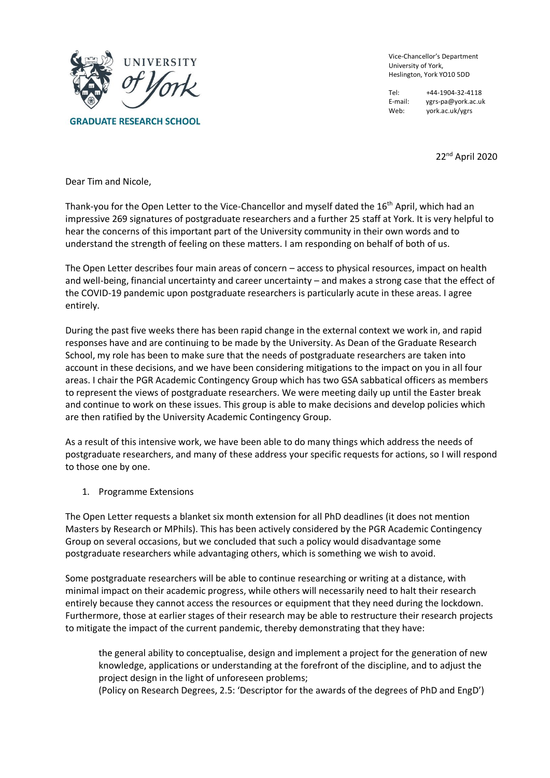

**GRADUATE RESEARCH SCHOOL** 

Vice-Chancellor's Department University of York, Heslington, York YO10 5DD

Tel: +44-1904-32-4118<br>E-mail: ygrs-pa@york.ac.ul vgrs-pa@york.ac.uk Web: york.ac.uk/ygrs

22nd April 2020

Dear Tim and Nicole,

Thank-you for the Open Letter to the Vice-Chancellor and myself dated the 16<sup>th</sup> April, which had an impressive 269 signatures of postgraduate researchers and a further 25 staff at York. It is very helpful to hear the concerns of this important part of the University community in their own words and to understand the strength of feeling on these matters. I am responding on behalf of both of us.

The Open Letter describes four main areas of concern – access to physical resources, impact on health and well-being, financial uncertainty and career uncertainty – and makes a strong case that the effect of the COVID-19 pandemic upon postgraduate researchers is particularly acute in these areas. I agree entirely.

During the past five weeks there has been rapid change in the external context we work in, and rapid responses have and are continuing to be made by the University. As Dean of the Graduate Research School, my role has been to make sure that the needs of postgraduate researchers are taken into account in these decisions, and we have been considering mitigations to the impact on you in all four areas. I chair the PGR Academic Contingency Group which has two GSA sabbatical officers as members to represent the views of postgraduate researchers. We were meeting daily up until the Easter break and continue to work on these issues. This group is able to make decisions and develop policies which are then ratified by the University Academic Contingency Group.

As a result of this intensive work, we have been able to do many things which address the needs of postgraduate researchers, and many of these address your specific requests for actions, so I will respond to those one by one.

1. Programme Extensions

The Open Letter requests a blanket six month extension for all PhD deadlines (it does not mention Masters by Research or MPhils). This has been actively considered by the PGR Academic Contingency Group on several occasions, but we concluded that such a policy would disadvantage some postgraduate researchers while advantaging others, which is something we wish to avoid.

Some postgraduate researchers will be able to continue researching or writing at a distance, with minimal impact on their academic progress, while others will necessarily need to halt their research entirely because they cannot access the resources or equipment that they need during the lockdown. Furthermore, those at earlier stages of their research may be able to restructure their research projects to mitigate the impact of the current pandemic, thereby demonstrating that they have:

the general ability to conceptualise, design and implement a project for the generation of new knowledge, applications or understanding at the forefront of the discipline, and to adjust the project design in the light of unforeseen problems;

(Policy on Research Degrees, 2.5: 'Descriptor for the awards of the degrees of PhD and EngD')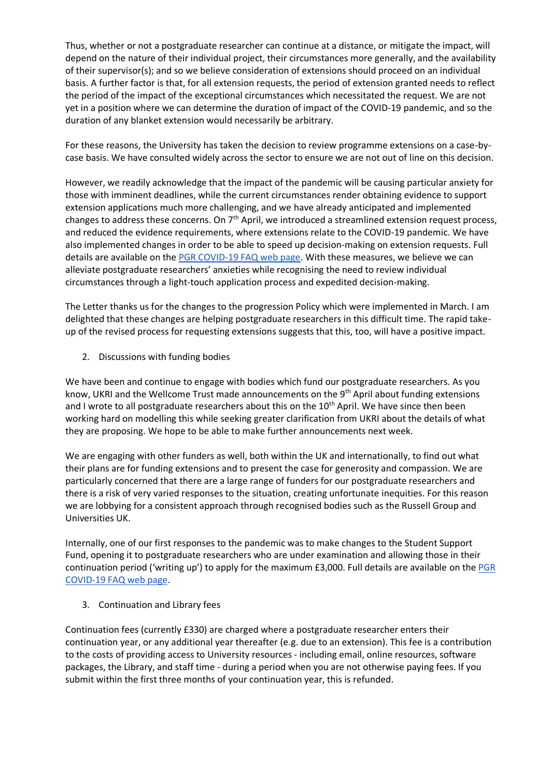Thus, whether or not a postgraduate researcher can continue at a distance, or mitigate the impact, will depend on the nature of their individual project, their circumstances more generally, and the availability of their supervisor(s); and so we believe consideration of extensions should proceed on an individual basis. A further factor is that, for all extension requests, the period of extension granted needs to reflect the period of the impact of the exceptional circumstances which necessitated the request. We are not yet in a position where we can determine the duration of impact of the COVID-19 pandemic, and so the duration of any blanket extension would necessarily be arbitrary.

For these reasons, the University has taken the decision to review programme extensions on a case-bycase basis. We have consulted widely across the sector to ensure we are not out of line on this decision.

However, we readily acknowledge that the impact of the pandemic will be causing particular anxiety for those with imminent deadlines, while the current circumstances render obtaining evidence to support extension applications much more challenging, and we have already anticipated and implemented changes to address these concerns. On 7<sup>th</sup> April, we introduced a streamlined extension request process, and reduced the evidence requirements, where extensions relate to the COVID-19 pandemic. We have also implemented changes in order to be able to speed up decision-making on extension requests. Full details are available on the [PGR COVID-19 FAQ web page.](https://coronavirus.york.ac.uk/for-students/for-pg-researchers#h.p_eTplbqi3Cect) With these measures, we believe we can alleviate postgraduate researchers' anxieties while recognising the need to review individual circumstances through a light-touch application process and expedited decision-making.

The Letter thanks us for the changes to the progression Policy which were implemented in March. I am delighted that these changes are helping postgraduate researchers in this difficult time. The rapid takeup of the revised process for requesting extensions suggests that this, too, will have a positive impact.

2. Discussions with funding bodies

We have been and continue to engage with bodies which fund our postgraduate researchers. As you know, UKRI and the Wellcome Trust made announcements on the 9<sup>th</sup> April about funding extensions and I wrote to all postgraduate researchers about this on the 10<sup>th</sup> April. We have since then been working hard on modelling this while seeking greater clarification from UKRI about the details of what they are proposing. We hope to be able to make further announcements next week.

We are engaging with other funders as well, both within the UK and internationally, to find out what their plans are for funding extensions and to present the case for generosity and compassion. We are particularly concerned that there are a large range of funders for our postgraduate researchers and there is a risk of very varied responses to the situation, creating unfortunate inequities. For this reason we are lobbying for a consistent approach through recognised bodies such as the Russell Group and Universities UK.

Internally, one of our first responses to the pandemic was to make changes to the Student Support Fund, opening it to postgraduate researchers who are under examination and allowing those in their continuation period ('writing up') to apply for the maximum £3,000. Full details are available on the [PGR](https://coronavirus.york.ac.uk/for-students/for-pg-researchers#h.p_eTplbqi3Cect)  [COVID-19 FAQ web page.](https://coronavirus.york.ac.uk/for-students/for-pg-researchers#h.p_eTplbqi3Cect)

3. Continuation and Library fees

Continuation fees (currently £330) are charged where a postgraduate researcher enters their continuation year, or any additional year thereafter (e.g. due to an extension). This fee is a contribution to the costs of providing access to University resources - including email, online resources, software packages, the Library, and staff time - during a period when you are not otherwise paying fees. If you submit within the first three months of your continuation year, this is refunded.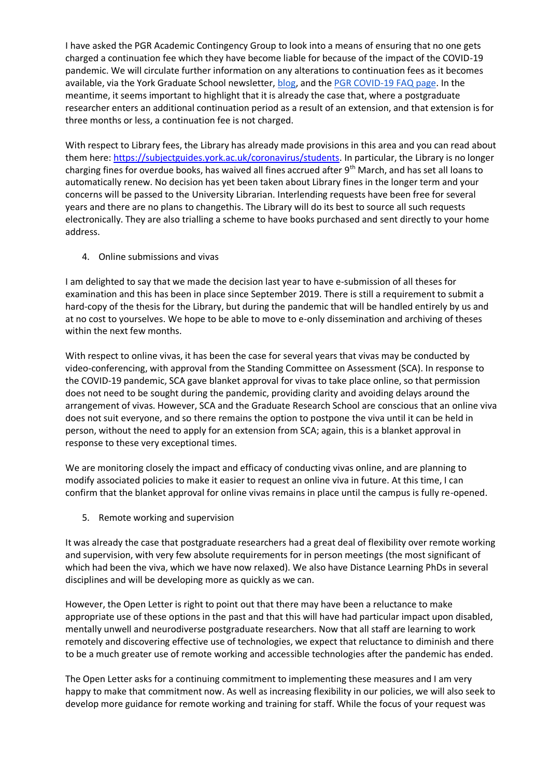I have asked the PGR Academic Contingency Group to look into a means of ensuring that no one gets charged a continuation fee which they have become liable for because of the impact of the COVID-19 pandemic. We will circulate further information on any alterations to continuation fees as it becomes available, via the York Graduate School newsletter, [blog,](https://blogs.york.ac.uk/research-student-community/) and the [PGR COVID-19 FAQ page.](https://coronavirus.york.ac.uk/for-students/for-pg-researchers) In the meantime, it seems important to highlight that it is already the case that, where a postgraduate researcher enters an additional continuation period as a result of an extension, and that extension is for three months or less, a continuation fee is not charged.

With respect to Library fees, the Library has already made provisions in this area and you can read about them here: [https://subjectguides.york.ac.uk/coronavirus/students.](https://subjectguides.york.ac.uk/coronavirus/students) In particular, the Library is no longer charging fines for overdue books, has waived all fines accrued after  $9<sup>th</sup>$  March, and has set all loans to automatically renew. No decision has yet been taken about Library fines in the longer term and your concerns will be passed to the University Librarian. Interlending requests have been free for several years and there are no plans to changethis. The Library will do its best to source all such requests electronically. They are also trialling a scheme to have books purchased and sent directly to your home address.

4. Online submissions and vivas

I am delighted to say that we made the decision last year to have e-submission of all theses for examination and this has been in place since September 2019. There is still a requirement to submit a hard-copy of the thesis for the Library, but during the pandemic that will be handled entirely by us and at no cost to yourselves. We hope to be able to move to e-only dissemination and archiving of theses within the next few months.

With respect to online vivas, it has been the case for several years that vivas may be conducted by video-conferencing, with approval from the Standing Committee on Assessment (SCA). In response to the COVID-19 pandemic, SCA gave blanket approval for vivas to take place online, so that permission does not need to be sought during the pandemic, providing clarity and avoiding delays around the arrangement of vivas. However, SCA and the Graduate Research School are conscious that an online viva does not suit everyone, and so there remains the option to postpone the viva until it can be held in person, without the need to apply for an extension from SCA; again, this is a blanket approval in response to these very exceptional times.

We are monitoring closely the impact and efficacy of conducting vivas online, and are planning to modify associated policies to make it easier to request an online viva in future. At this time, I can confirm that the blanket approval for online vivas remains in place until the campus is fully re-opened.

5. Remote working and supervision

It was already the case that postgraduate researchers had a great deal of flexibility over remote working and supervision, with very few absolute requirements for in person meetings (the most significant of which had been the viva, which we have now relaxed). We also have Distance Learning PhDs in several disciplines and will be developing more as quickly as we can.

However, the Open Letter is right to point out that there may have been a reluctance to make appropriate use of these options in the past and that this will have had particular impact upon disabled, mentally unwell and neurodiverse postgraduate researchers. Now that all staff are learning to work remotely and discovering effective use of technologies, we expect that reluctance to diminish and there to be a much greater use of remote working and accessible technologies after the pandemic has ended.

The Open Letter asks for a continuing commitment to implementing these measures and I am very happy to make that commitment now. As well as increasing flexibility in our policies, we will also seek to develop more guidance for remote working and training for staff. While the focus of your request was